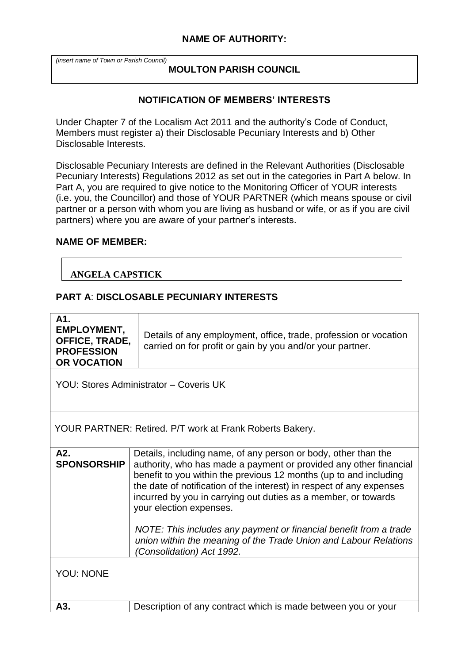## **NAME OF AUTHORITY:**

*(insert name of Town or Parish Council)*

## **MOULTON PARISH COUNCIL**

## **NOTIFICATION OF MEMBERS' INTERESTS**

Under Chapter 7 of the Localism Act 2011 and the authority's Code of Conduct, Members must register a) their Disclosable Pecuniary Interests and b) Other Disclosable Interests.

Disclosable Pecuniary Interests are defined in the Relevant Authorities (Disclosable Pecuniary Interests) Regulations 2012 as set out in the categories in Part A below. In Part A, you are required to give notice to the Monitoring Officer of YOUR interests (i.e. you, the Councillor) and those of YOUR PARTNER (which means spouse or civil partner or a person with whom you are living as husband or wife, or as if you are civil partners) where you are aware of your partner's interests.

### **NAME OF MEMBER:**

### **ANGELA CAPSTICK**

#### **PART A**: **DISCLOSABLE PECUNIARY INTERESTS**

| A1.<br><b>EMPLOYMENT,</b><br><b>OFFICE, TRADE,</b><br><b>PROFESSION</b><br><b>OR VOCATION</b> | Details of any employment, office, trade, profession or vocation<br>carried on for profit or gain by you and/or your partner.                                                                                                                                                                                                                                                                                                                                                                                                                       |  |  |
|-----------------------------------------------------------------------------------------------|-----------------------------------------------------------------------------------------------------------------------------------------------------------------------------------------------------------------------------------------------------------------------------------------------------------------------------------------------------------------------------------------------------------------------------------------------------------------------------------------------------------------------------------------------------|--|--|
| YOU: Stores Administrator - Coveris UK                                                        |                                                                                                                                                                                                                                                                                                                                                                                                                                                                                                                                                     |  |  |
| YOUR PARTNER: Retired. P/T work at Frank Roberts Bakery.                                      |                                                                                                                                                                                                                                                                                                                                                                                                                                                                                                                                                     |  |  |
| A2.<br><b>SPONSORSHIP</b>                                                                     | Details, including name, of any person or body, other than the<br>authority, who has made a payment or provided any other financial<br>benefit to you within the previous 12 months (up to and including<br>the date of notification of the interest) in respect of any expenses<br>incurred by you in carrying out duties as a member, or towards<br>your election expenses.<br>NOTE: This includes any payment or financial benefit from a trade<br>union within the meaning of the Trade Union and Labour Relations<br>(Consolidation) Act 1992. |  |  |
| <b>YOU: NONE</b>                                                                              |                                                                                                                                                                                                                                                                                                                                                                                                                                                                                                                                                     |  |  |
| A3.                                                                                           | Description of any contract which is made between you or your                                                                                                                                                                                                                                                                                                                                                                                                                                                                                       |  |  |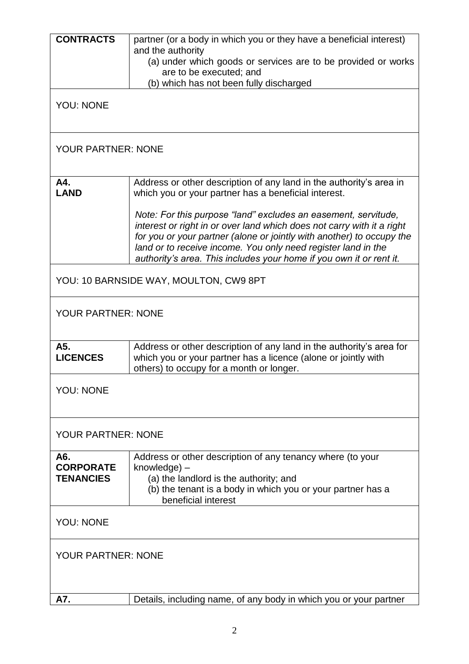| <b>CONTRACTS</b>                     | partner (or a body in which you or they have a beneficial interest)                                                                                                                |  |
|--------------------------------------|------------------------------------------------------------------------------------------------------------------------------------------------------------------------------------|--|
|                                      | and the authority<br>(a) under which goods or services are to be provided or works                                                                                                 |  |
|                                      | are to be executed; and                                                                                                                                                            |  |
|                                      | (b) which has not been fully discharged                                                                                                                                            |  |
| <b>YOU: NONE</b>                     |                                                                                                                                                                                    |  |
|                                      |                                                                                                                                                                                    |  |
| <b>YOUR PARTNER: NONE</b>            |                                                                                                                                                                                    |  |
| A4.                                  | Address or other description of any land in the authority's area in                                                                                                                |  |
| <b>LAND</b>                          | which you or your partner has a beneficial interest.                                                                                                                               |  |
|                                      | Note: For this purpose "land" excludes an easement, servitude,                                                                                                                     |  |
|                                      | interest or right in or over land which does not carry with it a right                                                                                                             |  |
|                                      | for you or your partner (alone or jointly with another) to occupy the                                                                                                              |  |
|                                      | land or to receive income. You only need register land in the<br>authority's area. This includes your home if you own it or rent it.                                               |  |
|                                      |                                                                                                                                                                                    |  |
|                                      | YOU: 10 BARNSIDE WAY, MOULTON, CW9 8PT                                                                                                                                             |  |
| <b>YOUR PARTNER: NONE</b>            |                                                                                                                                                                                    |  |
|                                      |                                                                                                                                                                                    |  |
| A5.<br><b>LICENCES</b>               | Address or other description of any land in the authority's area for<br>which you or your partner has a licence (alone or jointly with<br>others) to occupy for a month or longer. |  |
|                                      |                                                                                                                                                                                    |  |
| <b>YOU: NONE</b>                     |                                                                                                                                                                                    |  |
|                                      |                                                                                                                                                                                    |  |
| <b>YOUR PARTNER: NONE</b>            |                                                                                                                                                                                    |  |
| A6.                                  | Address or other description of any tenancy where (to your                                                                                                                         |  |
| <b>CORPORATE</b><br><b>TENANCIES</b> | knowledge) -<br>(a) the landlord is the authority; and                                                                                                                             |  |
|                                      | (b) the tenant is a body in which you or your partner has a                                                                                                                        |  |
|                                      | beneficial interest                                                                                                                                                                |  |
| <b>YOU: NONE</b>                     |                                                                                                                                                                                    |  |
| <b>YOUR PARTNER: NONE</b>            |                                                                                                                                                                                    |  |
|                                      |                                                                                                                                                                                    |  |
|                                      |                                                                                                                                                                                    |  |
| A7.                                  | Details, including name, of any body in which you or your partner                                                                                                                  |  |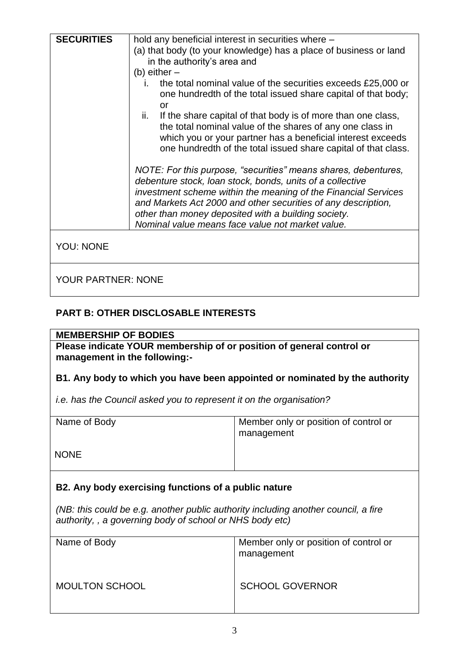| <b>SECURITIES</b>         | hold any beneficial interest in securities where -<br>(a) that body (to your knowledge) has a place of business or land<br>in the authority's area and<br>(b) either $-$                                                                                                                                                                                                  |
|---------------------------|---------------------------------------------------------------------------------------------------------------------------------------------------------------------------------------------------------------------------------------------------------------------------------------------------------------------------------------------------------------------------|
|                           | the total nominal value of the securities exceeds £25,000 or<br>Ĺ.<br>one hundredth of the total issued share capital of that body;<br>or                                                                                                                                                                                                                                 |
|                           | If the share capital of that body is of more than one class,<br>ii.<br>the total nominal value of the shares of any one class in<br>which you or your partner has a beneficial interest exceeds<br>one hundredth of the total issued share capital of that class.                                                                                                         |
|                           | NOTE: For this purpose, "securities" means shares, debentures,<br>debenture stock, loan stock, bonds, units of a collective<br>investment scheme within the meaning of the Financial Services<br>and Markets Act 2000 and other securities of any description,<br>other than money deposited with a building society.<br>Nominal value means face value not market value. |
| <b>YOU: NONE</b>          |                                                                                                                                                                                                                                                                                                                                                                           |
| <b>YOUR PARTNER: NONE</b> |                                                                                                                                                                                                                                                                                                                                                                           |

# **PART B: OTHER DISCLOSABLE INTERESTS**

## **MEMBERSHIP OF BODIES**

**Please indicate YOUR membership of or position of general control or management in the following:-**

# **B1. Any body to which you have been appointed or nominated by the authority**

*i.e. has the Council asked you to represent it on the organisation?*

| Name of Body | Member only or position of control or<br>management |
|--------------|-----------------------------------------------------|
| <b>NONE</b>  |                                                     |

# **B2. Any body exercising functions of a public nature**

*(NB: this could be e.g. another public authority including another council, a fire authority, , a governing body of school or NHS body etc)*

| Name of Body          | Member only or position of control or<br>management |
|-----------------------|-----------------------------------------------------|
| <b>MOULTON SCHOOL</b> | <b>SCHOOL GOVERNOR</b>                              |